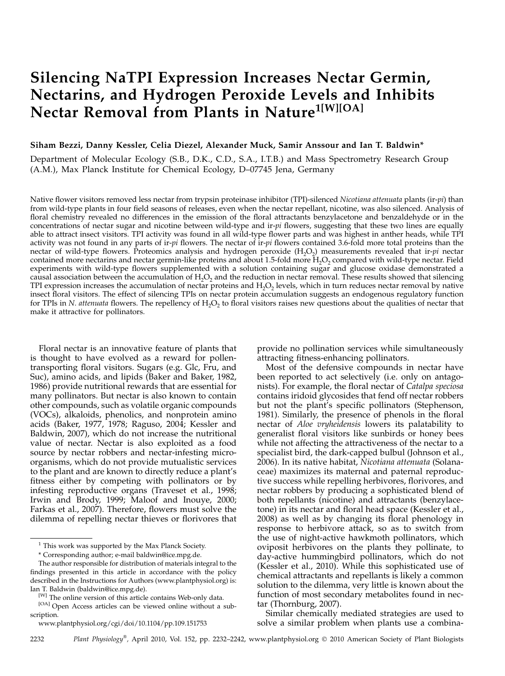# Silencing NaTPI Expression Increases Nectar Germin, Nectarins, and Hydrogen Peroxide Levels and Inhibits Nectar Removal from Plants in Nature<sup>1[W][OA]</sup>

# Siham Bezzi, Danny Kessler, Celia Diezel, Alexander Muck, Samir Anssour and Ian T. Baldwin\*

Department of Molecular Ecology (S.B., D.K., C.D., S.A., I.T.B.) and Mass Spectrometry Research Group (A.M.), Max Planck Institute for Chemical Ecology, D–07745 Jena, Germany

Native flower visitors removed less nectar from trypsin proteinase inhibitor (TPI)-silenced Nicotiana attenuata plants (ir-pi) than from wild-type plants in four field seasons of releases, even when the nectar repellant, nicotine, was also silenced. Analysis of floral chemistry revealed no differences in the emission of the floral attractants benzylacetone and benzaldehyde or in the concentrations of nectar sugar and nicotine between wild-type and ir- $pi$  flowers, suggesting that these two lines are equally able to attract insect visitors. TPI activity was found in all wild-type flower parts and was highest in anther heads, while TPI activity was not found in any parts of ir-pi flowers. The nectar of  $ir$ -pi flowers contained 3.6-fold more total proteins than the nectar of wild-type flowers. Proteomics analysis and hydrogen peroxide  $(H<sub>2</sub>O<sub>2</sub>)$  measurements revealed that ir-pi nectar contained more nectarins and nectar germin-like proteins and about 1.5-fold more  $H_2O_2$  compared with wild-type nectar. Field experiments with wild-type flowers supplemented with a solution containing sugar and glucose oxidase demonstrated a causal association between the accumulation of  $H_2O_2$  and the reduction in nectar removal. These results showed that silencing TPI expression increases the accumulation of nectar proteins and  $H_2O_2$  levels, which in turn reduces nectar removal by native insect floral visitors. The effect of silencing TPIs on nectar protein accumulation suggests an endogenous regulatory function for TPIs in N. attenuata flowers. The repellency of  $H_2O_2$  to floral visitors raises new questions about the qualities of nectar that make it attractive for pollinators.

Floral nectar is an innovative feature of plants that is thought to have evolved as a reward for pollentransporting floral visitors. Sugars (e.g. Glc, Fru, and Suc), amino acids, and lipids (Baker and Baker, 1982, 1986) provide nutritional rewards that are essential for many pollinators. But nectar is also known to contain other compounds, such as volatile organic compounds (VOCs), alkaloids, phenolics, and nonprotein amino acids (Baker, 1977, 1978; Raguso, 2004; Kessler and Baldwin, 2007), which do not increase the nutritional value of nectar. Nectar is also exploited as a food source by nectar robbers and nectar-infesting microorganisms, which do not provide mutualistic services to the plant and are known to directly reduce a plant's fitness either by competing with pollinators or by infesting reproductive organs (Traveset et al., 1998; Irwin and Brody, 1999; Maloof and Inouye, 2000; Farkas et al., 2007). Therefore, flowers must solve the dilemma of repelling nectar thieves or florivores that

provide no pollination services while simultaneously attracting fitness-enhancing pollinators.

Most of the defensive compounds in nectar have been reported to act selectively (i.e. only on antagonists). For example, the floral nectar of Catalpa speciosa contains iridoid glycosides that fend off nectar robbers but not the plant's specific pollinators (Stephenson, 1981). Similarly, the presence of phenols in the floral nectar of Aloe vryheidensis lowers its palatability to generalist floral visitors like sunbirds or honey bees while not affecting the attractiveness of the nectar to a specialist bird, the dark-capped bulbul (Johnson et al., 2006). In its native habitat, Nicotiana attenuata (Solanaceae) maximizes its maternal and paternal reproductive success while repelling herbivores, florivores, and nectar robbers by producing a sophisticated blend of both repellants (nicotine) and attractants (benzylacetone) in its nectar and floral head space (Kessler et al., 2008) as well as by changing its floral phenology in response to herbivore attack, so as to switch from the use of night-active hawkmoth pollinators, which oviposit herbivores on the plants they pollinate, to day-active hummingbird pollinators, which do not (Kessler et al., 2010). While this sophisticated use of chemical attractants and repellants is likely a common solution to the dilemma, very little is known about the function of most secondary metabolites found in nectar (Thornburg, 2007).

Similar chemically mediated strategies are used to solve a similar problem when plants use a combina-

 $^{\rm 1}$  This work was supported by the Max Planck Society.

<sup>\*</sup> Corresponding author; e-mail baldwin@ice.mpg.de.

The author responsible for distribution of materials integral to the findings presented in this article in accordance with the policy described in the Instructions for Authors (www.plantphysiol.org) is: Ian T. Baldwin (baldwin@ice.mpg.de).

<sup>[</sup>W] The online version of this article contains Web-only data.

<sup>[</sup>OA] Open Access articles can be viewed online without a subscription.

www.plantphysiol.org/cgi/doi/10.1104/pp.109.151753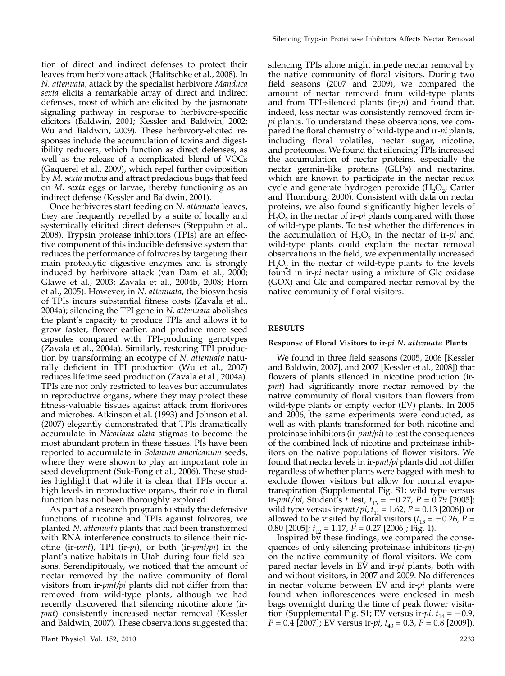tion of direct and indirect defenses to protect their leaves from herbivore attack (Halitschke et al., 2008). In N. attenuata, attack by the specialist herbivore Manduca sexta elicits a remarkable array of direct and indirect defenses, most of which are elicited by the jasmonate signaling pathway in response to herbivore-specific elicitors (Baldwin, 2001; Kessler and Baldwin, 2002; Wu and Baldwin, 2009). These herbivory-elicited responses include the accumulation of toxins and digestibility reducers, which function as direct defenses, as well as the release of a complicated blend of VOCs (Gaquerel et al., 2009), which repel further oviposition by M. sexta moths and attract predacious bugs that feed on M. sexta eggs or larvae, thereby functioning as an indirect defense (Kessler and Baldwin, 2001).

Once herbivores start feeding on N. attenuata leaves, they are frequently repelled by a suite of locally and systemically elicited direct defenses (Steppuhn et al., 2008). Trypsin protease inhibitors (TPIs) are an effective component of this inducible defensive system that reduces the performance of folivores by targeting their main proteolytic digestive enzymes and is strongly induced by herbivore attack (van Dam et al., 2000; Glawe et al., 2003; Zavala et al., 2004b, 2008; Horn et al., 2005). However, in N. attenuata, the biosynthesis of TPIs incurs substantial fitness costs (Zavala et al., 2004a); silencing the TPI gene in N. attenuata abolishes the plant's capacity to produce TPIs and allows it to grow faster, flower earlier, and produce more seed capsules compared with TPI-producing genotypes (Zavala et al., 2004a). Similarly, restoring TPI production by transforming an ecotype of N. attenuata naturally deficient in TPI production (Wu et al., 2007) reduces lifetime seed production (Zavala et al., 2004a). TPIs are not only restricted to leaves but accumulates in reproductive organs, where they may protect these fitness-valuable tissues against attack from florivores and microbes. Atkinson et al. (1993) and Johnson et al. (2007) elegantly demonstrated that TPIs dramatically accumulate in Nicotiana alata stigmas to become the most abundant protein in these tissues. PIs have been reported to accumulate in Solanum americanum seeds, where they were shown to play an important role in seed development (Suk-Fong et al., 2006). These studies highlight that while it is clear that TPIs occur at high levels in reproductive organs, their role in floral function has not been thoroughly explored.

As part of a research program to study the defensive functions of nicotine and TPIs against folivores, we planted N. attenuata plants that had been transformed with RNA interference constructs to silence their nicotine (ir-pmt), TPI (ir-pi), or both (ir-pmt/pi) in the plant's native habitats in Utah during four field seasons. Serendipitously, we noticed that the amount of nectar removed by the native community of floral visitors from ir-pmt/pi plants did not differ from that removed from wild-type plants, although we had recently discovered that silencing nicotine alone (irpmt) consistently increased nectar removal (Kessler and Baldwin, 2007). These observations suggested that

silencing TPIs alone might impede nectar removal by the native community of floral visitors. During two field seasons (2007 and 2009), we compared the amount of nectar removed from wild-type plants and from TPI-silenced plants (ir- $pi$ ) and found that, indeed, less nectar was consistently removed from irpi plants. To understand these observations, we compared the floral chemistry of wild-type and ir-pi plants, including floral volatiles, nectar sugar, nicotine, and proteomes. We found that silencing TPIs increased the accumulation of nectar proteins, especially the nectar germin-like proteins (GLPs) and nectarins, which are known to participate in the nectar redox cycle and generate hydrogen peroxide  $(H_2O_2)$ ; Carter and Thornburg, 2000). Consistent with data on nectar proteins, we also found significantly higher levels of  $H_2O_2$  in the nectar of ir-*pi* plants compared with those of wild-type plants. To test whether the differences in the accumulation of  $H_2O_2$  in the nectar of ir-pi and wild-type plants could explain the nectar removal observations in the field, we experimentally increased  $H_2O_2$  in the nectar of wild-type plants to the levels found in ir-pi nectar using a mixture of Glc oxidase (GOX) and Glc and compared nectar removal by the native community of floral visitors.

## RESULTS

## Response of Floral Visitors to ir-pi N. attenuata Plants

We found in three field seasons (2005, 2006 [Kessler and Baldwin, 2007], and 2007 [Kessler et al., 2008]) that flowers of plants silenced in nicotine production (irpmt) had significantly more nectar removed by the native community of floral visitors than flowers from wild-type plants or empty vector (EV) plants. In 2005 and 2006, the same experiments were conducted, as well as with plants transformed for both nicotine and proteinase inhibitors (ir-pmt/pi) to test the consequences of the combined lack of nicotine and proteinase inhibitors on the native populations of flower visitors. We found that nectar levels in ir-pmt/pi plants did not differ regardless of whether plants were bagged with mesh to exclude flower visitors but allow for normal evapotranspiration (Supplemental Fig. S1; wild type versus ir-*pmt/pi*, Student's t test,  $t_{13} = -0.27$ ,  $P = 0.79$  [2005]; wild type versus ir-*pmt/pi*,  $t_{11} = 1.62$ ,  $P = 0.13$  [2006]) or allowed to be visited by floral visitors ( $t_{13} = -0.26$ , P = 0.80 [2005];  $t_{12} = 1.17$ ,  $\vec{P} = 0.27$  [2006]; Fig. 1).

Inspired by these findings, we compared the consequences of only silencing proteinase inhibitors (ir-*pi*) on the native community of floral visitors. We compared nectar levels in  $EV$  and ir- $pi$  plants, both with and without visitors, in 2007 and 2009. No differences in nectar volume between EV and ir-pi plants were found when inflorescences were enclosed in mesh bags overnight during the time of peak flower visitation (Supplemental Fig. S1; EV versus ir-*pi*,  $t_{14} = -0.9$ ,  $P = 0.4$  [2007]; EV versus ir-*pi*,  $t_{43} = 0.3$ ,  $P = 0.8$  [2009]).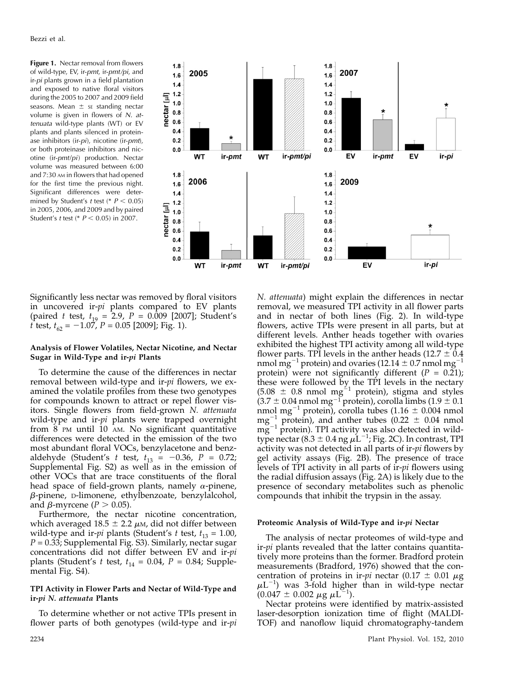Figure 1. Nectar removal from flowers of wild-type, EV, ir-pmt, ir-pmt/pi, and ir-pi plants grown in a field plantation and exposed to native floral visitors during the 2005 to 2007 and 2009 field seasons. Mean  $\pm$  se standing nectar volume is given in flowers of N. attenuata wild-type plants (WT) or EV plants and plants silenced in proteinase inhibitors (ir-pi), nicotine (ir-pmt), or both proteinase inhibitors and nicotine (ir-pmt/pi) production. Nectar volume was measured between 6:00 and 7:30 AM in flowers that had opened for the first time the previous night. Significant differences were determined by Student's t test (\*  $P < 0.05$ ) in 2005, 2006, and 2009 and by paired Student's t test (\*  $P < 0.05$ ) in 2007.



Significantly less nectar was removed by floral visitors in uncovered ir-pi plants compared to EV plants (paired t test,  $t_{19} = 2.9$ ,  $P = 0.009$  [2007]; Student's t test,  $t_{62} = -1.07$ ,  $P = 0.05$  [2009]; Fig. 1).

# Analysis of Flower Volatiles, Nectar Nicotine, and Nectar Sugar in Wild-Type and ir-pi Plants

To determine the cause of the differences in nectar removal between wild-type and ir-*pi* flowers, we examined the volatile profiles from these two genotypes for compounds known to attract or repel flower visitors. Single flowers from field-grown N. attenuata wild-type and ir-pi plants were trapped overnight from 8 PM until 10 AM. No significant quantitative differences were detected in the emission of the two most abundant floral VOCs, benzylacetone and benzaldehyde (Student's *t* test,  $t_{13} = -0.36$ ,  $P = 0.72$ ; Supplemental Fig. S2) as well as in the emission of other VOCs that are trace constituents of the floral head space of field-grown plants, namely  $\alpha$ -pinene, b-pinene, D-limonene, ethylbenzoate, benzylalcohol, and  $\beta$ -myrcene ( $P > 0.05$ ).

Furthermore, the nectar nicotine concentration, which averaged  $18.5 \pm 2.2 \mu$ M, did not differ between wild-type and ir-*pi* plants (Student's t test,  $t_{13} = 1.00$ ,  $P = 0.33$ ; Supplemental Fig. S3). Similarly, nectar sugar concentrations did not differ between EV and ir-pi plants (Student's t test,  $t_{14} = 0.04$ ,  $P = 0.84$ ; Supplemental Fig. S4).

# TPI Activity in Flower Parts and Nectar of Wild-Type and ir-pi N. attenuata Plants

To determine whether or not active TPIs present in flower parts of both genotypes (wild-type and ir-*pi* 

N. attenuata) might explain the differences in nectar removal, we measured TPI activity in all flower parts and in nectar of both lines (Fig. 2). In wild-type flowers, active TPIs were present in all parts, but at different levels. Anther heads together with ovaries exhibited the highest TPI activity among all wild-type flower parts. TPI levels in the anther heads  $(12.7 \pm 0.4)$ nmol mg<sup>-1</sup> protein) and ovaries (12.14  $\pm$  0.7 nmol mg<sup>-1</sup> protein) were not significantly different ( $P = 0.21$ ); these were followed by the TPI levels in the nectary  $(5.08 \pm 0.8 \text{ nmol mg}^{-1} \text{ protein})$ , stigma and styles  $(3.7 \pm 0.04 \,\mathrm{nmol \,mg^{-1}}$  protein), corolla limbs  $(1.9 \pm 0.1)$ nmol mg<sup>-1</sup> protein), corolla tubes (1.16  $\pm$  0.004 nmol  $mg^{-1}$  protein), and anther tubes (0.22  $\pm$  0.04 nmol  $mg^{-1}$  protein). TPI activity was also detected in wildtype nectar (8.3  $\pm$  0.4 ng  $\mu$ L<sup>-1</sup>; Fig. 2C). In contrast, TPI activity was not detected in all parts of ir-pi flowers by gel activity assays (Fig. 2B). The presence of trace levels of TPI activity in all parts of ir-*pi* flowers using the radial diffusion assays (Fig. 2A) is likely due to the presence of secondary metabolites such as phenolic compounds that inhibit the trypsin in the assay.

## Proteomic Analysis of Wild-Type and ir-pi Nectar

The analysis of nectar proteomes of wild-type and ir-pi plants revealed that the latter contains quantitatively more proteins than the former. Bradford protein measurements (Bradford, 1976) showed that the concentration of proteins in ir-pi nectar (0.17  $\pm$  0.01  $\mu$ g  $\mu L^{-1}$ ) was 3-fold higher than in wild-type nectar  $(0.047 \pm 0.002 \ \mu \text{g} \ \mu \text{L}^{-1}).$ 

Nectar proteins were identified by matrix-assisted laser-desorption ionization time of flight (MALDI-TOF) and nanoflow liquid chromatography-tandem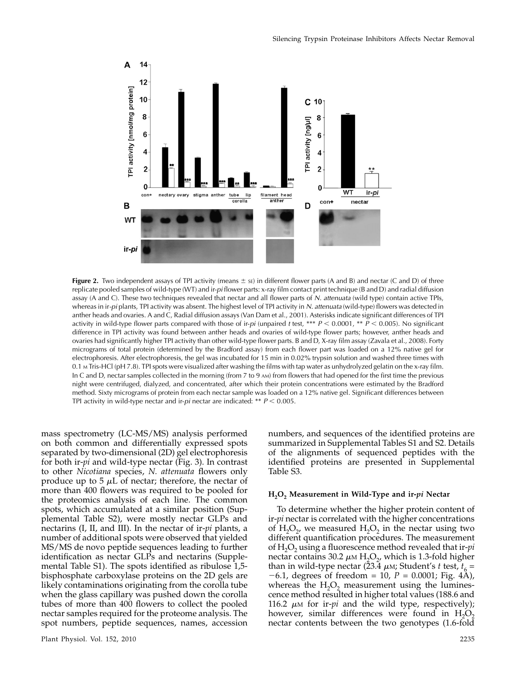

Figure 2. Two independent assays of TPI activity (means  $\pm$  se) in different flower parts (A and B) and nectar (C and D) of three replicate pooled samples of wild-type (WT) and ir-pi flower parts: x-ray film contact print technique (B and D) and radial diffusion assay (A and C). These two techniques revealed that nectar and all flower parts of N. attenuata (wild type) contain active TPIs, whereas in ir-pi plants, TPI activity was absent. The highest level of TPI activity in N. attenuata (wild-type) flowers was detected in anther heads and ovaries. A and C, Radial diffusion assays (Van Dam et al., 2001). Asterisks indicate significant differences of TPI activity in wild-type flower parts compared with those of ir-pi (unpaired t test, \*\*\*  $P < 0.0001$ , \*\*  $P < 0.005$ ). No significant difference in TPI activity was found between anther heads and ovaries of wild-type flower parts; however, anther heads and ovaries had significantly higher TPI activity than other wild-type flower parts. B and D, X-ray film assay (Zavala et al., 2008). Forty micrograms of total protein (determined by the Bradford assay) from each flower part was loaded on a 12% native gel for electrophoresis. After electrophoresis, the gel was incubated for 15 min in 0.02% trypsin solution and washed three times with 0.1 <sup>M</sup> Tris-HCl (pH 7.8). TPI spots were visualized after washing the films with tap water as unhydrolyzed gelatin on the x-ray film. In C and D, nectar samples collected in the morning (from 7 to 9 AM) from flowers that had opened for the first time the previous night were centrifuged, dialyzed, and concentrated, after which their protein concentrations were estimated by the Bradford method. Sixty micrograms of protein from each nectar sample was loaded on a 12% native gel. Significant differences between TPI activity in wild-type nectar and ir-pi nectar are indicated: \*\*  $P < 0.005$ .

mass spectrometry (LC-MS/MS) analysis performed on both common and differentially expressed spots separated by two-dimensional (2D) gel electrophoresis for both ir-pi and wild-type nectar (Fig. 3). In contrast to other Nicotiana species, N. attenuata flowers only produce up to  $5 \mu L$  of nectar; therefore, the nectar of more than 400 flowers was required to be pooled for the proteomics analysis of each line. The common spots, which accumulated at a similar position (Supplemental Table S2), were mostly nectar GLPs and nectarins (I, II, and III). In the nectar of ir-pi plants, a number of additional spots were observed that yielded MS/MS de novo peptide sequences leading to further identification as nectar GLPs and nectarins (Supplemental Table S1). The spots identified as ribulose 1,5 bisphosphate carboxylase proteins on the 2D gels are likely contaminations originating from the corolla tube when the glass capillary was pushed down the corolla tubes of more than 400 flowers to collect the pooled nectar samples required for the proteome analysis. The spot numbers, peptide sequences, names, accession numbers, and sequences of the identified proteins are summarized in Supplemental Tables S1 and S2. Details of the alignments of sequenced peptides with the identified proteins are presented in Supplemental Table S3.

#### $H<sub>2</sub>O<sub>2</sub>$  Measurement in Wild-Type and ir- $pi$  Nectar

To determine whether the higher protein content of ir-pi nectar is correlated with the higher concentrations of  $H_2O_2$ , we measured  $H_2O_2$  in the nectar using two different quantification procedures. The measurement of  $H_2O_2$  using a fluorescence method revealed that ir-*pi* nectar contains 30.2  $\mu$ M H<sub>2</sub>O<sub>2</sub>, which is 1.3-fold higher than in wild-type nectar (23.4  $\mu$ m; Student's t test,  $t_6$  =  $-6.1$ , degrees of freedom = 10,  $P = 0.0001$ ; Fig. 4A), whereas the  $H_2O_2$  measurement using the luminescence method resulted in higher total values (188.6 and 116.2  $\mu$ M for ir-*pi* and the wild type, respectively); however, similar differences were found in  $H_2O_2$ nectar contents between the two genotypes (1.6-fold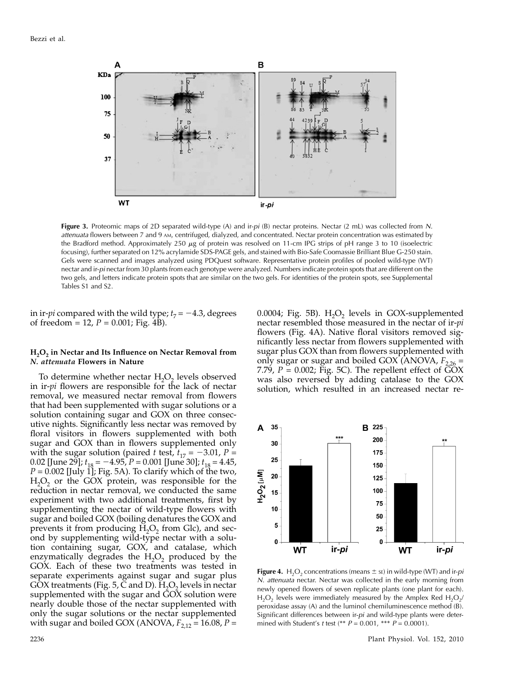

Figure 3. Proteomic maps of 2D separated wild-type (A) and ir-pi (B) nectar proteins. Nectar (2 mL) was collected from N. attenuata flowers between 7 and 9 AM, centrifuged, dialyzed, and concentrated. Nectar protein concentration was estimated by the Bradford method. Approximately 250  $\mu$ g of protein was resolved on 11-cm IPG strips of pH range 3 to 10 (isoelectric focusing), further separated on 12% acrylamide SDS-PAGE gels, and stained with Bio-Safe Coomassie Brilliant Blue G-250 stain. Gels were scanned and images analyzed using PDQuest software. Representative protein profiles of pooled wild-type (WT) nectar and ir-pi nectar from 30 plants from each genotype were analyzed. Numbers indicate protein spots that are different on the two gels, and letters indicate protein spots that are similar on the two gels. For identities of the protein spots, see Supplemental Tables S1 and S2.

in ir-*pi* compared with the wild type;  $t_7 = -4.3$ , degrees of freedom = 12,  $P = 0.001$ ; Fig. 4B).

## H<sub>2</sub>O<sub>2</sub> in Nectar and Its Influence on Nectar Removal from N. attenuata Flowers in Nature

To determine whether nectar  $H_2O_2$  levels observed in ir-pi flowers are responsible for the lack of nectar removal, we measured nectar removal from flowers that had been supplemented with sugar solutions or a solution containing sugar and GOX on three consecutive nights. Significantly less nectar was removed by floral visitors in flowers supplemented with both sugar and GOX than in flowers supplemented only with the sugar solution (paired t test,  $t_{17} = -3.01$ , P = 0.02 [June 29];  $t_{18} = -4.95$ ,  $P = 0.001$  [June 30];  $t_{18} = 4.45$ ,  $P = 0.002$  [July 1]; Fig. 5A). To clarify which of the two,  $H_2O_2$  or the GOX protein, was responsible for the reduction in nectar removal, we conducted the same experiment with two additional treatments, first by supplementing the nectar of wild-type flowers with sugar and boiled GOX (boiling denatures the GOX and prevents it from producing  $H_2O_2$  from Glc), and second by supplementing wild-type nectar with a solution containing sugar, GOX, and catalase, which enzymatically degrades the  $H_2O_2$  produced by the GOX. Each of these two treatments was tested in separate experiments against sugar and sugar plus GOX treatments (Fig. 5,  $\dot{C}$  and D).  $\dot{H}$ <sub>2</sub>O<sub>2</sub> levels in nectar supplemented with the sugar and GOX solution were nearly double those of the nectar supplemented with only the sugar solutions or the nectar supplemented with sugar and boiled GOX (ANOVA,  $F_{2,12}$  = 16.08, P =

0.0004; Fig. 5B).  $H_2O_2$  levels in GOX-supplemented nectar resembled those measured in the nectar of ir-*pi* flowers (Fig. 4A). Native floral visitors removed significantly less nectar from flowers supplemented with sugar plus GOX than from flowers supplemented with only sugar or sugar and boiled GOX (ANOVA,  $F_{2,26}$  = 7.79,  $P = 0.002$ ; Fig. 5C). The repellent effect of  $\angle$ OX was also reversed by adding catalase to the GOX solution, which resulted in an increased nectar re-



**Figure 4.** H<sub>2</sub>O<sub>2</sub> concentrations (means  $\pm$  sE) in wild-type (WT) and ir-pi N. attenuata nectar. Nectar was collected in the early morning from newly opened flowers of seven replicate plants (one plant for each).  $H_2O_2$  levels were immediately measured by the Amplex Red  $H_2O_2/2$ peroxidase assay (A) and the luminol chemiluminescence method (B). Significant differences between ir-pi and wild-type plants were determined with Student's *t* test (\*\*  $P = 0.001$ , \*\*\*  $P = 0.0001$ ).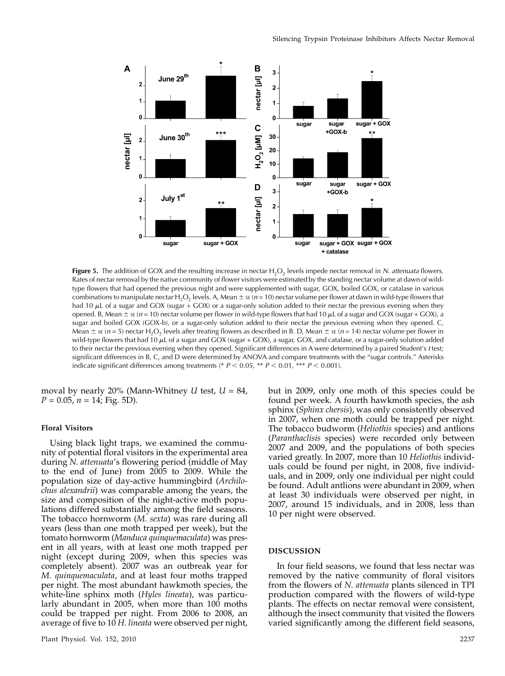

Figure 5. The addition of GOX and the resulting increase in nectar  $H_2O_2$  levels impede nectar removal in N. attenuata flowers. Rates of nectar removal by the native community of flower visitors were estimated by the standing nectar volume at dawn of wildtype flowers that had opened the previous night and were supplemented with sugar, GOX, boiled GOX, or catalase in various combinations to manipulate nectar H<sub>2</sub>O<sub>2</sub> levels. A, Mean  $\pm$  se (n = 10) nectar volume per flower at dawn in wild-type flowers that had 10  $\mu$ L of a sugar and GOX (sugar + GOX) or a sugar-only solution added to their nectar the previous evening when they opened. B, Mean  $\pm$  se (n = 10) nectar volume per flower in wild-type flowers that had 10  $\mu$ L of a sugar and GOX (sugar + GOX), a sugar and boiled GOX (GOX-b), or a sugar-only solution added to their nectar the previous evening when they opened. C, Mean  $\pm$  se (n = 5) nectar H<sub>2</sub>O<sub>2</sub> levels after treating flowers as described in B. D, Mean  $\pm$  se (n = 14) nectar volume per flower in wild-type flowers that had 10  $\mu$ L of a sugar and GOX (sugar + GOX), a sugar, GOX, and catalase, or a sugar-only solution added to their nectar the previous evening when they opened. Significant differences in A were determined by a paired Student's t test; significant differences in B, C, and D were determined by ANOVA and compare treatments with the "sugar controls." Asterisks indicate significant differences among treatments (\*  $P < 0.05$ , \*\*  $P < 0.01$ , \*\*\*  $P < 0.001$ ).

moval by nearly 20% (Mann-Whitney U test,  $U = 84$ ,  $P = 0.05$ ,  $n = 14$ ; Fig. 5D).

# Floral Visitors

Using black light traps, we examined the community of potential floral visitors in the experimental area during N. attenuata's flowering period (middle of May to the end of June) from 2005 to 2009. While the population size of day-active hummingbird (Archilochus alexandrii) was comparable among the years, the size and composition of the night-active moth populations differed substantially among the field seasons. The tobacco hornworm (M. sexta) was rare during all years (less than one moth trapped per week), but the tomato hornworm (Manduca quinquemaculata) was present in all years, with at least one moth trapped per night (except during 2009, when this species was completely absent). 2007 was an outbreak year for M. quinquemaculata, and at least four moths trapped per night. The most abundant hawkmoth species, the white-line sphinx moth (Hyles lineata), was particularly abundant in 2005, when more than 100 moths could be trapped per night. From 2006 to 2008, an average of five to 10 H. lineata were observed per night,

but in 2009, only one moth of this species could be found per week. A fourth hawkmoth species, the ash sphinx (Sphinx chersis), was only consistently observed in 2007, when one moth could be trapped per night. The tobacco budworm (Heliothis species) and antlions (Paranthaclisis species) were recorded only between 2007 and 2009, and the populations of both species varied greatly. In 2007, more than 10 Heliothis individuals could be found per night, in 2008, five individuals, and in 2009, only one individual per night could be found. Adult antlions were abundant in 2009, when at least 30 individuals were observed per night, in 2007, around 15 individuals, and in 2008, less than 10 per night were observed.

## DISCUSSION

In four field seasons, we found that less nectar was removed by the native community of floral visitors from the flowers of N. attenuata plants silenced in TPI production compared with the flowers of wild-type plants. The effects on nectar removal were consistent, although the insect community that visited the flowers varied significantly among the different field seasons,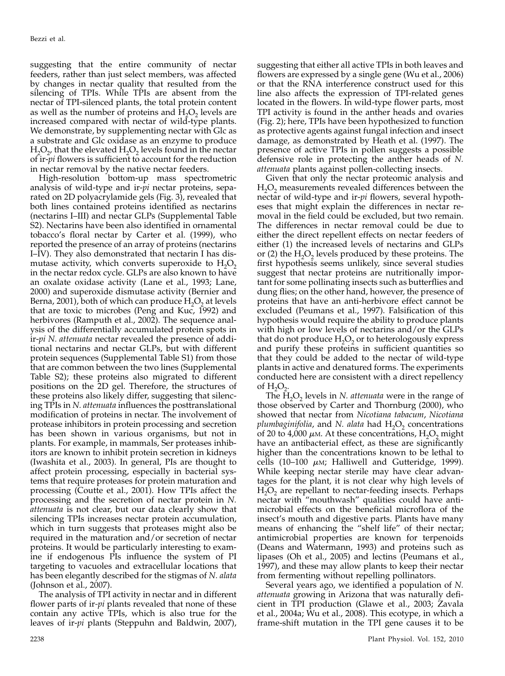suggesting that the entire community of nectar feeders, rather than just select members, was affected by changes in nectar quality that resulted from the silencing of TPIs. While TPIs are absent from the nectar of TPI-silenced plants, the total protein content as well as the number of proteins and  $H_2O_2$  levels are increased compared with nectar of wild-type plants. We demonstrate, by supplementing nectar with Glc as a substrate and Glc oxidase as an enzyme to produce  $H_2O_2$ , that the elevated  $H_2O_2$  levels found in the nectar of ir-*pi* flowers is sufficient to account for the reduction in nectar removal by the native nectar feeders.

High-resolution bottom-up mass spectrometric analysis of wild-type and ir- $pi$  nectar proteins, separated on 2D polyacrylamide gels (Fig. 3), revealed that both lines contained proteins identified as nectarins (nectarins I–III) and nectar GLPs (Supplemental Table S2). Nectarins have been also identified in ornamental tobacco's floral nectar by Carter et al. (1999), who reported the presence of an array of proteins (nectarins I–IV). They also demonstrated that nectarin I has dismutase activity, which converts superoxide to  $H_2O_2$ in the nectar redox cycle. GLPs are also known to have an oxalate oxidase activity (Lane et al., 1993; Lane, 2000) and superoxide dismutase activity (Bernier and Berna, 2001), both of which can produce  $H_2O_2$  at levels that are toxic to microbes (Peng and Kuc, 1992) and herbivores (Ramputh et al., 2002). The sequence analysis of the differentially accumulated protein spots in ir-pi N. attenuata nectar revealed the presence of additional nectarins and nectar GLPs, but with different protein sequences (Supplemental Table S1) from those that are common between the two lines (Supplemental Table S2); these proteins also migrated to different positions on the 2D gel. Therefore, the structures of these proteins also likely differ, suggesting that silencing TPIs in N. attenuata influences the posttranslational modification of proteins in nectar. The involvement of protease inhibitors in protein processing and secretion has been shown in various organisms, but not in plants. For example, in mammals, Ser proteases inhibitors are known to inhibit protein secretion in kidneys (Iwashita et al., 2003). In general, PIs are thought to affect protein processing, especially in bacterial systems that require proteases for protein maturation and processing (Coutte et al., 2001). How TPIs affect the processing and the secretion of nectar protein in N. attenuata is not clear, but our data clearly show that silencing TPIs increases nectar protein accumulation, which in turn suggests that proteases might also be required in the maturation and/or secretion of nectar proteins. It would be particularly interesting to examine if endogenous PIs influence the system of PI targeting to vacuoles and extracellular locations that has been elegantly described for the stigmas of N. *alata* (Johnson et al., 2007).

The analysis of TPI activity in nectar and in different flower parts of ir-*pi* plants revealed that none of these contain any active TPIs, which is also true for the leaves of ir-pi plants (Steppuhn and Baldwin, 2007),

suggesting that either all active TPIs in both leaves and flowers are expressed by a single gene (Wu et al., 2006) or that the RNA interference construct used for this line also affects the expression of TPI-related genes located in the flowers. In wild-type flower parts, most TPI activity is found in the anther heads and ovaries (Fig. 2); here, TPIs have been hypothesized to function as protective agents against fungal infection and insect damage, as demonstrated by Heath et al. (1997). The presence of active TPIs in pollen suggests a possible defensive role in protecting the anther heads of N. attenuata plants against pollen-collecting insects.

Given that only the nectar proteomic analysis and  $H<sub>2</sub>O<sub>2</sub>$  measurements revealed differences between the nectar of wild-type and ir-*pi* flowers, several hypotheses that might explain the differences in nectar removal in the field could be excluded, but two remain. The differences in nectar removal could be due to either the direct repellent effects on nectar feeders of either (1) the increased levels of nectarins and GLPs or (2) the  $H_2O_2$  levels produced by these proteins. The first hypothesis seems unlikely, since several studies suggest that nectar proteins are nutritionally important for some pollinating insects such as butterflies and dung flies; on the other hand, however, the presence of proteins that have an anti-herbivore effect cannot be excluded (Peumans et al., 1997). Falsification of this hypothesis would require the ability to produce plants with high or low levels of nectarins and/or the GLPs that do not produce  $H_2O_2$  or to heterologously express and purify these proteins in sufficient quantities so that they could be added to the nectar of wild-type plants in active and denatured forms. The experiments conducted here are consistent with a direct repellency of  $H_2O_2$ .

The  $H_2O_2$  levels in N. attenuata were in the range of those observed by Carter and Thornburg (2000), who showed that nectar from Nicotiana tabacum, Nicotiana plumbaginifolia, and N. alata had  $H_2O_2$  concentrations of 20 to 4,000  $\mu$ m. At these concentrations, H<sub>2</sub>O<sub>2</sub> might have an antibacterial effect, as these are significantly higher than the concentrations known to be lethal to cells (10–100  $\mu$ <sub>M</sub>; Halliwell and Gutteridge, 1999). While keeping nectar sterile may have clear advantages for the plant, it is not clear why high levels of  $H_2O_2$  are repellant to nectar-feeding insects. Perhaps nectar with "mouthwash" qualities could have antimicrobial effects on the beneficial microflora of the insect's mouth and digestive parts. Plants have many means of enhancing the "shelf life" of their nectar; antimicrobial properties are known for terpenoids (Deans and Watermann, 1993) and proteins such as lipases (Oh et al., 2005) and lectins (Peumans et al., 1997), and these may allow plants to keep their nectar from fermenting without repelling pollinators.

Several years ago, we identified a population of N. attenuata growing in Arizona that was naturally deficient in TPI production (Glawe et al., 2003; Zavala et al., 2004a; Wu et al., 2008). This ecotype, in which a frame-shift mutation in the TPI gene causes it to be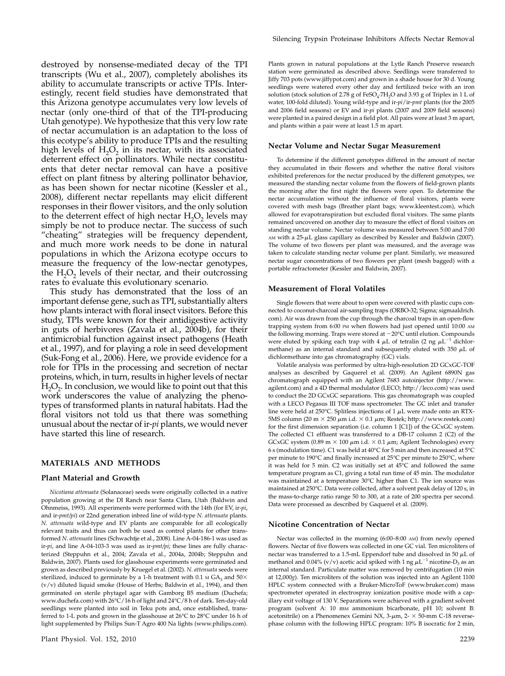destroyed by nonsense-mediated decay of the TPI transcripts (Wu et al., 2007), completely abolishes its ability to accumulate transcripts or active TPIs. Interestingly, recent field studies have demonstrated that this Arizona genotype accumulates very low levels of nectar (only one-third of that of the TPI-producing Utah genotype). We hypothesize that this very low rate of nectar accumulation is an adaptation to the loss of this ecotype's ability to produce TPIs and the resulting high levels of  $H_2O_2$  in its nectar, with its associated deterrent effect on pollinators. While nectar constituents that deter nectar removal can have a positive effect on plant fitness by altering pollinator behavior, as has been shown for nectar nicotine (Kessler et al., 2008), different nectar repellants may elicit different responses in their flower visitors, and the only solution to the deterrent effect of high nectar  $H_2O_2$  levels may simply be not to produce nectar. The success of such "cheating" strategies will be frequency dependent, and much more work needs to be done in natural populations in which the Arizona ecotype occurs to measure the frequency of the low-nectar genotypes, the  $H_2O_2$  levels of their nectar, and their outcrossing rates to evaluate this evolutionary scenario.

This study has demonstrated that the loss of an important defense gene, such as TPI, substantially alters how plants interact with floral insect visitors. Before this study, TPIs were known for their antidigestive activity in guts of herbivores (Zavala et al., 2004b), for their antimicrobial function against insect pathogens (Heath et al., 1997), and for playing a role in seed development (Suk-Fong et al., 2006). Here, we provide evidence for a role for TPIs in the processing and secretion of nectar proteins, which, in turn, results in higher levels of nectar  $H_2O_2$ . In conclusion, we would like to point out that this work underscores the value of analyzing the phenotypes of transformed plants in natural habitats. Had the floral visitors not told us that there was something unusual about the nectar of ir-pi plants, we would never have started this line of research.

## MATERIALS AND METHODS

#### Plant Material and Growth

Nicotiana attenuata (Solanaceae) seeds were originally collected in a native population growing at the DI Ranch near Santa Clara, Utah (Baldwin and Ohnmeiss, 1993). All experiments were performed with the 14th (for EV, ir-pi, and ir-pmt/pi) or 22nd generation inbred line of wild-type N. attenuata plants. N. attenuata wild-type and EV plants are comparable for all ecologically relevant traits and thus can both be used as control plants for other transformed N. attenuata lines (Schwachtje et al., 2008). Line A-04-186-1 was used as ir-pi, and line A-04-103-3 was used as ir-pmt/pi; these lines are fully characterized (Steppuhn et al., 2004; Zavala et al., 2004a, 2004b; Steppuhn and Baldwin, 2007). Plants used for glasshouse experiments were germinated and grown as described previously by Kruegel et al. (2002). N. attenuata seeds were sterilized, induced to germinate by a 1-h treatment with 0.1  $\mu$  GA<sub>3</sub> and 50 $\times$ (v/v) diluted liquid smoke (House of Herbs; Baldwin et al., 1994), and then germinated on sterile phytagel agar with Gamborg B5 medium (Duchefa; www.duchefa.com) with 26°C/16 h of light and 24°C/8 h of dark. Ten-day-old seedlings were planted into soil in Teku pots and, once established, transferred to 1-L pots and grown in the glasshouse at  $26^{\circ}$ C to  $28^{\circ}$ C under 16 h of light supplemented by Philips Sun-T Agro 400 Na lights (www.philips.com).

Plants grown in natural populations at the Lytle Ranch Preserve research station were germinated as described above. Seedlings were transferred to Jiffy 703 pots (www.jiffypot.com) and grown in a shade house for 30 d. Young seedlings were watered every other day and fertilized twice with an iron solution (stock solution of 2.78 g of  $FeSO<sub>4</sub>·7H<sub>2</sub>O$  and 3.93 g of Triplex in 1 L of water, 100-fold diluted). Young wild-type and ir-pi/ir-pmt plants (for the 2005 and 2006 field seasons) or EV and ir-pi plants (2007 and 2009 field seasons) were planted in a paired design in a field plot. All pairs were at least 3 m apart, and plants within a pair were at least 1.5 m apart.

#### Nectar Volume and Nectar Sugar Measurement

To determine if the different genotypes differed in the amount of nectar they accumulated in their flowers and whether the native floral visitors exhibited preferences for the nectar produced by the different genotypes, we measured the standing nectar volume from the flowers of field-grown plants the morning after the first night the flowers were open. To determine the nectar accumulation without the influence of floral visitors, plants were covered with mesh bags (Breather plant bags; www.kleentest.com), which allowed for evapotranspiration but excluded floral visitors. The same plants remained uncovered on another day to measure the effect of floral visitors on standing nectar volume. Nectar volume was measured between 5:00 and 7:00  $A$ M with a 25- $\mu$ L glass capillary as described by Kessler and Baldwin (2007). The volume of two flowers per plant was measured, and the average was taken to calculate standing nectar volume per plant. Similarly, we measured nectar sugar concentrations of two flowers per plant (mesh bagged) with a portable refractometer (Kessler and Baldwin, 2007).

#### Measurement of Floral Volatiles

Single flowers that were about to open were covered with plastic cups connected to coconut-charcoal air-sampling traps (ORBO-32; Sigma; sigmaaldrich. com). Air was drawn from the cup through the charcoal traps in an open-flow trapping system from 6:00 PM when flowers had just opened until 10:00 AM the following morning. Traps were stored at  $-20^{\circ}$ C until elution. Compounds were eluted by spiking each trap with 4  $\mu$ L of tetralin (2 ng  $\mu$ L<sup>-1</sup> dichlormethane) as an internal standard and subsequently eluted with 350  $\mu$ L of dichlormethane into gas chromatography (GC) vials.

Volatile analysis was performed by ultra-high-resolution 2D GCxGC-TOF analyses as described by Gaquerel et al. (2009). An Agilent 6890N gas chromatograph equipped with an Agilent 7683 autoinjector (http://www. agilent.com) and a 4D thermal modulator (LECO; http://leco.com) was used to conduct the 2D GCxGC separations. This gas chromatograph was coupled with a LECO Pegasus III TOF mass spectrometer. The GC inlet and transfer line were held at 250°C. Splitless injections of 1  $\mu$ L were made onto an RTX-5MS column (20 m  $\times$  250  $\mu$ m i.d.  $\times$  0.1  $\mu$ m; Restek; http://www.restek.com) for the first dimension separation (i.e. column 1 [C1]) of the GCxGC system. The collected C1 effluent was transferred to a DB-17 column 2 (C2) of the GCxGC system (0.89 m  $\times$  100  $\mu$ m i.d.  $\times$  0.1  $\mu$ m; Agilent Technologies) every 6 s (modulation time). C1 was held at 40°C for 5 min and then increased at 5°C per minute to 190 $^{\circ}$ C and finally increased at 25 $^{\circ}$ C per minute to 250 $^{\circ}$ C, where it was held for 5 min. C2 was initially set at 45°C and followed the same temperature program as C1, giving a total run time of 45 min. The modulator was maintained at a temperature 30°C higher than C1. The ion source was maintained at 250°C. Data were collected, after a solvent peak delay of 120 s, in the mass-to-charge ratio range 50 to 300, at a rate of 200 spectra per second. Data were processed as described by Gaquerel et al. (2009).

#### Nicotine Concentration of Nectar

Nectar was collected in the morning (6:00–8:00 AM) from newly opened flowers. Nectar of five flowers was collected in one GC vial. Ten microliters of nectar was transferred to a 1.5-mL Eppendorf tube and dissolved in 50  $\mu$ L of methanol and 0.04% (v/v) acetic acid spiked with 1 ng  $\mu \text{L}^{-1}$  nicotine-D<sub>3</sub> as an internal standard. Particulate matter was removed by centrifugation (10 min at 12,000g). Ten microliters of the solution was injected into an Agilent 1100 HPLC system connected with a Bruker-MicroToF (www.bruker.com) mass spectrometer operated in electrospray ionization positive mode with a capillary exit voltage of 130 V. Separations were achieved with a gradient solvent program (solvent A: 10 mm ammonium bicarbonate, pH 10; solvent B: acetonitrile) on a Phenomenex Gemini NX,  $3-\mu$ m,  $2-\times 50$ -mm C-18 reversephase column with the following HPLC program: 10% B isocratic for 2 min,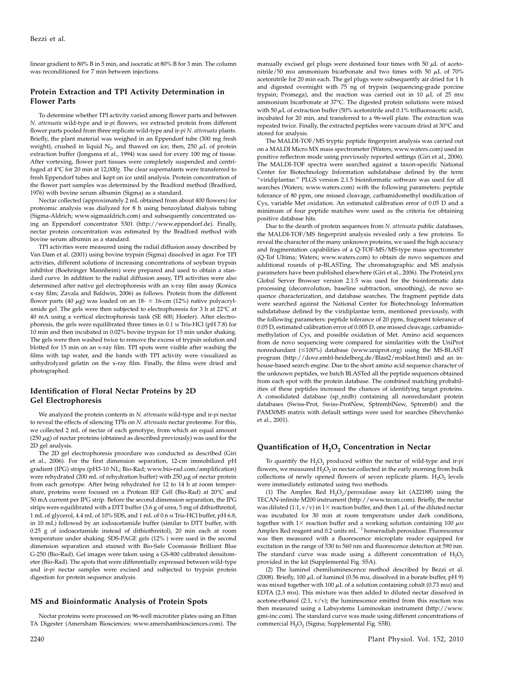linear gradient to 80% B in 5 min, and isocratic at 80% B for 3 min. The column was reconditioned for 7 min between injections.

## Protein Extraction and TPI Activity Determination in Flower Parts

To determine whether TPI activity varied among flower parts and between N. attenuata wild-type and ir-pi flowers, we extracted protein from different flower parts pooled from three replicate wild-type and ir-pi N. attenuata plants. Briefly, the plant material was weighed in an Eppendorf tube (300 mg fresh weight), crushed in liquid N<sub>2</sub>, and thawed on ice; then, 250  $\mu$ L of protein extraction buffer (Jongsma et al., 1994) was used for every 100 mg of tissue. After vortexing, flower part tissues were completely suspended and centrifuged at 4°C for 20 min at 12,000g. The clear supernatants were transferred to fresh Eppendorf tubes and kept on ice until analysis. Protein concentration of the flower part samples was determined by the Bradford method (Bradford, 1976) with bovine serum albumin (Sigma) as a standard.

Nectar collected (approximately 2 mL obtained from about 400 flowers) for proteomic analysis was dialyzed for 8 h using benzoylated dialysis tubing (Sigma-Aldrich; www.sigmaaldrich.com) and subsequently concentrated using an Eppendorf concentrator 5301 (http://www.eppendorf.de). Finally, nectar protein concentration was estimated by the Bradford method with bovine serum albumin as a standard.

TPI activities were measured using the radial diffusion assay described by Van Dam et al. (2001) using bovine trypsin (Sigma) dissolved in agar. For TPI activities, different solutions of increasing concentrations of soybean trypsin inhibitor (Boehringer Mannheim) were prepared and used to obtain a standard curve. In addition to the radial diffusion assay, TPI activities were also determined after native gel electrophoresis with an x-ray film assay (Konica x-ray film; Zavala and Baldwin, 2006) as follows. Protein from the different flower parts (40  $\mu$ g) was loaded on an 18- $\times$  16-cm (12%) native polyacrylamide gel. The gels were then subjected to electrophoresis for 3 h at  $22^{\circ}$ C at 40 mA using a vertical electrophoresis tank (SE 600; Hoefer). After electrophoresis, the gels were equilibrated three times in 0.1 <sup>M</sup> Tris-HCl (pH 7.8) for 10 min and then incubated in 0.02% bovine trypsin for 15 min under shaking. The gels were then washed twice to remove the excess of trypsin solution and blotted for 15 min on an x-ray film. TPI spots were visible after washing the films with tap water, and the bands with TPI activity were visualized as unhydrolyzed gelatin on the x-ray film. Finally, the films were dried and photographed.

# Identification of Floral Nectar Proteins by 2D Gel Electrophoresis

We analyzed the protein contents in N. attenuata wild-type and ir-pi nectar to reveal the effects of silencing TPIs on N. attenuata nectar proteome. For this, we collected 2 mL of nectar of each genotype, from which an equal amount  $(250 \,\mu$ g) of nectar proteins (obtained as described previously) was used for the 2D gel analysis.

The 2D gel electrophoresis procedure was conducted as described (Giri et al., 2006). For the first dimension separation, 12-cm immobilized pH gradient (IPG) strips (pH3-10 NL; Bio-Rad; www.bio-rad.com/amplification) were rehydrated (200 mL of rehydration buffer) with 250  $\mu$ g of nectar protein from each genotype. After being rehydrated for 12 to 14 h at room temperature, proteins were focused on a Protean IEF Cell (Bio-Rad) at 20°C and 50 mA current per IPG strip. Before the second dimension separation, the IPG strips were equilibrated with a DTT buffer (3.6 g of urea, 5 mg of dithiothreitol, 1 mL of glycerol, 4.4 mL of 10% SDS, and 1 mL of 0.6 <sup>M</sup> Tris-HCl buffer, pH 6.8, in 10 mL) followed by an iodoacetamide buffer (similar to DTT buffer, with 0.25 g of iodoacetamide instead of dithiothreitol), 20 min each at room temperature under shaking. SDS-PAGE gels (12% ) were used in the second dimension separation and stained with Bio-Safe Coomassie Brilliant Blue G-250 (Bio-Rad). Gel images were taken using a GS-800 calibrated densitometer (Bio-Rad). The spots that were differentially expressed between wild-type and ir-pi nectar samples were excised and subjected to trypsin protein digestion for protein sequence analysis.

## MS and Bioinformatic Analysis of Protein Spots

Nectar proteins were processed on 96-well microtiter plates using an Ettan TA Digester (Amersham Biosciences; www.amershambiosciences.com). The manually excised gel plugs were destained four times with 50  $\mu$ L of acetonitrile/50 mm ammonium bicarbonate and two times with 50  $\mu$ L of 70% acetonitrile for 20 min each. The gel plugs were subsequently air dried for 1 h and digested overnight with 75 ng of trypsin (sequencing-grade porcine trypsin; Promega), and the reaction was carried out in 10  $\mu$ L of 25 mm ammonium bicarbonate at 37°C. The digested protein solutions were mixed with 50  $\mu$ L of extraction buffer (50% acetonitrile and 0.1% trifluoroacetic acid), incubated for 20 min, and transferred to a 96-well plate. The extraction was repeated twice. Finally, the extracted peptides were vacuum dried at 30°C and stored for analysis.

The MALDI-TOF/MS tryptic peptide fingerprint analysis was carried out on a MALDI Micro MX mass spectrometer (Waters; www.waters.com) used in positive reflectron mode using previously reported settings (Giri et al., 2006). The MALDI-TOF spectra were searched against a taxon-specific National Center for Biotechnology Information subdatabase defined by the term "viridiplantae." PLGS version 2.1.5 bioinformatic software was used for all searches (Waters; www.waters.com) with the following parameters: peptide tolerance of 80 ppm, one missed cleavage, carbamidomethyl modification of Cys, variable Met oxidation. An estimated calibration error of 0.05 D and a minimum of four peptide matches were used as the criteria for obtaining positive database hits.

Due to the dearth of protein sequences from N. attenuata public databases, the MALDI-TOF/MS fingerprint analysis revealed only a few proteins. To reveal the character of the many unknown proteins, we used the high accuracy and fragmentation capabilities of a Q-TOF-MS/MS-type mass spectrometer (Q-Tof Ultima; Waters; www.waters.com) to obtain de novo sequences and additional rounds of p-BLASTing. The chromatographic and MS analysis parameters have been published elsewhere (Giri et al., 2006). The ProteinLynx Global Server Browser version 2.1.5 was used for the bioinformatic data processing (deconvolution, baseline subtraction, smoothing), de novo sequence characterization, and database searches. The fragment peptide data were searched against the National Center for Biotechnology Information subdatabase defined by the viridiplantae term, mentioned previously, with the following parameters: peptide tolerance of 20 ppm, fragment tolerance of 0.05 D, estimated calibration error of 0.005 D, one missed cleavage, carbamidomethylation of Cys, and possible oxidation of Met. Amino acid sequences from de novo sequencing were compared for similarities with the UniProt nonredundant ( $\leq$ 100%) database (www.uniprot.org) using the MS-BLAST program (http://dove.embl-heidelberg.de/Blast2/msblast.html) and an inhouse-based search engine. Due to the short amino acid sequence character of the unknown peptides, we batch BLASTed all the peptide sequences obtained from each spot with the protein database. The combined matching probabilities of these peptides increased the chances of identifying target proteins. A consolidated database (sp\_nrdb) containing all nonredundant protein databases (Swiss-Prot, Swiss-ProtNew, SptremblNew, Sptrembl) and the PAM30MS matrix with default settings were used for searches (Shevchenko et al., 2001).

## Quantification of H<sub>2</sub>O<sub>2</sub> Concentration in Nectar

To quantify the  $H_2O_2$  produced within the nectar of wild-type and ir-pi flowers, we measured  $H_2O_2$  in nectar collected in the early morning from bulk collections of newly opened flowers of seven replicate plants.  $H_2O_2$  levels were immediately estimated using two methods.

(1) The Amplex Red  $H_2O_2$ /peroxidase assay kit (A22188) using the TECAN-infinite M200 instrument (http://www.tecan.com). Briefly, the nectar was diluted (1:1, v/v) in  $1\times$  reaction buffer, and then 1  $\mu$ L of the diluted nectar was incubated for 30 min at room temperature under dark conditions, together with  $1\times$  reaction buffer and a working solution containing 100  $\mu$ MM Amplex Red reagent and  $0.2$  units  $mL^{-1}$  horseradish peroxidase. Fluorescence was then measured with a fluorescence microplate reader equipped for excitation in the range of 530 to 560 nm and fluorescence detection at 590 nm. The standard curve was made using a different concentration of  $H_2O_2$ provided in the kit (Supplemental Fig. S5A).

(2) The luminol chemiluminescence method described by Bezzi et al. (2008). Briefly, 100  $\mu$ L of luminol (0.56 mm, dissolved in a borate buffer, pH 9) was mixed together with 100  $\mu$ L of a solution containing cobalt (0.73 mm) and EDTA (2.3 mM). This mixture was then added to diluted nectar dissolved in acetone: ethanol  $(2:1, v/v)$ ; the luminescence emitted from this reaction was then measured using a Labsystems Luminoskan instrument (http://www. gmi-inc.com). The standard curve was made using different concentrations of commercial  $H_2O_2$  (Sigma; Supplemental Fig. S5B).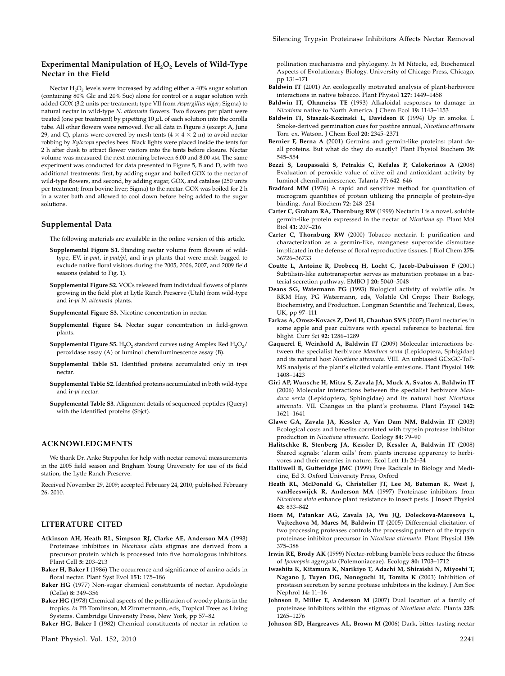# Experimental Manipulation of  $H_2O_2$  Levels of Wild-Type Nectar in the Field

Nectar  $H_2O_2$  levels were increased by adding either a  $40\%$  sugar solution (containing 80% Glc and 20% Suc) alone for control or a sugar solution with added GOX (3.2 units per treatment; type VII from Aspergillus niger; Sigma) to natural nectar in wild-type N. attenuata flowers. Two flowers per plant were treated (one per treatment) by pipetting  $10 \mu L$  of each solution into the corolla tube. All other flowers were removed. For all data in Figure 5 (except A, June 29, and C), plants were covered by mesh tents  $(4 \times 4 \times 2 \text{ m})$  to avoid nectar robbing by Xylocopa species bees. Black lights were placed inside the tents for 2 h after dusk to attract flower visitors into the tents before closure. Nectar volume was measured the next morning between 6:00 and 8:00 AM. The same experiment was conducted for data presented in Figure 5, B and D, with two additional treatments: first, by adding sugar and boiled GOX to the nectar of wild-type flowers, and second, by adding sugar, GOX, and catalase (250 units per treatment; from bovine liver; Sigma) to the nectar. GOX was boiled for 2 h in a water bath and allowed to cool down before being added to the sugar solutions.

#### Supplemental Data

The following materials are available in the online version of this article.

- Supplemental Figure S1. Standing nectar volume from flowers of wildtype, EV, ir-pmt, ir-pmt/pi, and ir-pi plants that were mesh bagged to exclude native floral visitors during the 2005, 2006, 2007, and 2009 field seasons (related to Fig. 1).
- Supplemental Figure S2. VOCs released from individual flowers of plants growing in the field plot at Lytle Ranch Preserve (Utah) from wild-type and ir-pi N. attenuata plants.
- Supplemental Figure S3. Nicotine concentration in nectar.
- Supplemental Figure S4. Nectar sugar concentration in field-grown plants.
- Supplemental Figure S5. H<sub>2</sub>O<sub>2</sub> standard curves using Amplex Red H<sub>2</sub>O<sub>2</sub>/ peroxidase assay (A) or luminol chemiluminescence assay (B).
- Supplemental Table S1. Identified proteins accumulated only in ir-pi nectar.
- Supplemental Table S2. Identified proteins accumulated in both wild-type and ir-pi nectar.
- Supplemental Table S3. Alignment details of sequenced peptides (Query) with the identified proteins (Sbjct).

#### ACKNOWLEDGMENTS

We thank Dr. Anke Steppuhn for help with nectar removal measurements in the 2005 field season and Brigham Young University for use of its field station, the Lytle Ranch Preserve.

Received November 29, 2009; accepted February 24, 2010; published February 26, 2010.

# LITERATURE CITED

- Atkinson AH, Heath RL, Simpson RJ, Clarke AE, Anderson MA (1993) Proteinase inhibitors in Nicotiana alata stigmas are derived from a precursor protein which is processed into five homologous inhibitors. Plant Cell 5: 203–213
- Baker H, Baker I (1986) The occurrence and significance of amino acids in floral nectar. Plant Syst Evol 151: 175–186
- Baker HG (1977) Non-sugar chemical constituents of nectar. Apidologie (Celle) 8: 349–356
- Baker HG (1978) Chemical aspects of the pollination of woody plants in the tropics. In PB Tomlinson, M Zimmermann, eds, Tropical Trees as Living Systems. Cambridge University Press, New York, pp 57–82

Baker HG, Baker I (1982) Chemical constituents of nectar in relation to

pollination mechanisms and phylogeny. In M Nitecki, ed, Biochemical Aspects of Evolutionary Biology. University of Chicago Press, Chicago, pp 131–171

- Baldwin IT (2001) An ecologically motivated analysis of plant-herbivore interactions in native tobacco. Plant Physiol 127: 1449–1458
- Baldwin IT, Ohnmeiss TE (1993) Alkaloidal responses to damage in Nicotiana native to North America. J Chem Ecol 19: 1143–1153
- Baldwin IT, Staszak-Kozinski L, Davidson R (1994) Up in smoke. I. Smoke-derived germination cues for postfire annual, Nicotiana attenuata Torr. ex. Watson. J Chem Ecol 20: 2345–2371
- Bernier F, Berna A (2001) Germins and germin-like proteins: plant doall proteins. But what do they do exactly? Plant Physiol Biochem 39: 545–554
- Bezzi S, Loupassaki S, Petrakis C, Kefalas P, Calokerinos A (2008) Evaluation of peroxide value of olive oil and antioxidant activity by luminol chemiluminescence. Talanta 77: 642–646
- Bradford MM (1976) A rapid and sensitive method for quantitation of microgram quantities of protein utilizing the principle of protein-dye binding. Anal Biochem 72: 248–254
- Carter C, Graham RA, Thornburg RW (1999) Nectarin I is a novel, soluble germin-like protein expressed in the nectar of Nicotiana sp. Plant Mol Biol 41: 207–216
- Carter C, Thornburg RW (2000) Tobacco nectarin I: purification and characterization as a germin-like, manganese superoxide dismutase implicated in the defense of floral reproductive tissues. J Biol Chem 275: 36726–36733
- Coutte L, Antoine R, Drobecq H, Locht C, Jacob-Dubuisson F (2001) Subtilisin-like autotransporter serves as maturation protease in a bacterial secretion pathway. EMBO J 20: 5040–5048
- Deans SG, Watermann PG (1993) Biological activity of volatile oils. In RKM Hay, PG Watermann, eds, Volatile Oil Crops: Their Biology, Biochemistry, and Production. Longman Scientific and Technical, Essex, UK, pp 97–111
- Farkas A, Orosz-Kovacs Z, Deri H, Chauhan SVS (2007) Floral nectaries in some apple and pear cultivars with special reference to bacterial fire blight. Curr Sci 92: 1286–1289
- Gaquerel E, Weinhold A, Baldwin IT (2009) Molecular interactions between the specialist herbivore Manduca sexta (Lepidoptera, Sphigidae) and its natural host Nicotiana attenuata. VIII. An unbiased GCxGC-ToF-MS analysis of the plant's elicited volatile emissions. Plant Physiol 149: 1408–1423
- Giri AP, Wunsche H, Mitra S, Zavala JA, Muck A, Svatos A, Baldwin IT (2006) Molecular interactions between the specialist herbivore Manduca sexta (Lepidoptera, Sphingidae) and its natural host Nicotiana attenuata. VII. Changes in the plant's proteome. Plant Physiol 142: 1621–1641
- Glawe GA, Zavala JA, Kessler A, Van Dam NM, Baldwin IT (2003) Ecological costs and benefits correlated with trypsin protease inhibitor production in Nicotiana attenuata. Ecology 84: 79–90
- Halitschke R, Stenberg JA, Kessler D, Kessler A, Baldwin IT (2008) Shared signals: 'alarm calls' from plants increase apparency to herbivores and their enemies in nature. Ecol Lett 11: 24–34
- Halliwell B, Gutteridge JMC (1999) Free Radicals in Biology and Medicine, Ed 3. Oxford University Press, Oxford
- Heath RL, McDonald G, Christeller JT, Lee M, Bateman K, West J, vanHeeswijck R, Anderson MA (1997) Proteinase inhibitors from Nicotiana alata enhance plant resistance to insect pests. J Insect Physiol 43: 833–842
- Horn M, Patankar AG, Zavala JA, Wu JQ, Doleckova-Maresova L, Vujtechova M, Mares M, Baldwin IT (2005) Differential elicitation of two processing proteases controls the processing pattern of the trypsin proteinase inhibitor precursor in Nicotiana attenuata. Plant Physiol 139: 375–388
- Irwin RE, Brody AK (1999) Nectar-robbing bumble bees reduce the fitness of Ipomopsis aggregata (Polemoniaceae). Ecology 80: 1703–1712
- Iwashita K, Kitamura K, Narikiyo T, Adachi M, Shiraishi N, Miyoshi T, Nagano J, Tuyen DG, Nonoguchi H, Tomita K (2003) Inhibition of prostasin secretion by serine protease inhibitors in the kidney. J Am Soc Nephrol 14: 11–16
- Johnson E, Miller E, Anderson M (2007) Dual location of a family of proteinase inhibitors within the stigmas of Nicotiana alata. Planta 225: 1265–1276
- Johnson SD, Hargreaves AL, Brown M (2006) Dark, bitter-tasting nectar